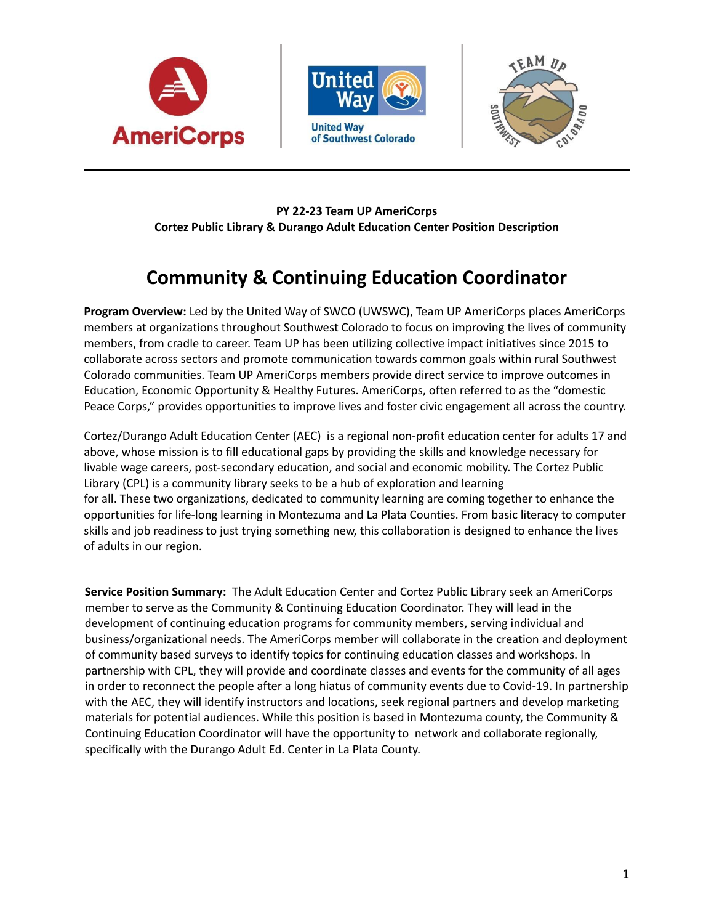





## **PY 22-23 Team UP AmeriCorps Cortez Public Library & Durango Adult Education Center Position Description**

# **Community & Continuing Education Coordinator**

**Program Overview:** Led by the United Way of SWCO (UWSWC), Team UP AmeriCorps places AmeriCorps members at organizations throughout Southwest Colorado to focus on improving the lives of community members, from cradle to career. Team UP has been utilizing collective impact initiatives since 2015 to collaborate across sectors and promote communication towards common goals within rural Southwest Colorado communities. Team UP AmeriCorps members provide direct service to improve outcomes in Education, Economic Opportunity & Healthy Futures. AmeriCorps, often referred to as the "domestic Peace Corps," provides opportunities to improve lives and foster civic engagement all across the country.

Cortez/Durango Adult Education Center (AEC) is a regional non-profit education center for adults 17 and above, whose mission is to fill educational gaps by providing the skills and knowledge necessary for livable wage careers, post-secondary education, and social and economic mobility. The Cortez Public Library (CPL) is a community library seeks to be a hub of exploration and learning for all. These two organizations, dedicated to community learning are coming together to enhance the opportunities for life-long learning in Montezuma and La Plata Counties. From basic literacy to computer skills and job readiness to just trying something new, this collaboration is designed to enhance the lives of adults in our region.

**Service Position Summary:** The Adult Education Center and Cortez Public Library seek an AmeriCorps member to serve as the Community & Continuing Education Coordinator. They will lead in the development of continuing education programs for community members, serving individual and business/organizational needs. The AmeriCorps member will collaborate in the creation and deployment of community based surveys to identify topics for continuing education classes and workshops. In partnership with CPL, they will provide and coordinate classes and events for the community of all ages in order to reconnect the people after a long hiatus of community events due to Covid-19. In partnership with the AEC, they will identify instructors and locations, seek regional partners and develop marketing materials for potential audiences. While this position is based in Montezuma county, the Community & Continuing Education Coordinator will have the opportunity to network and collaborate regionally, specifically with the Durango Adult Ed. Center in La Plata County.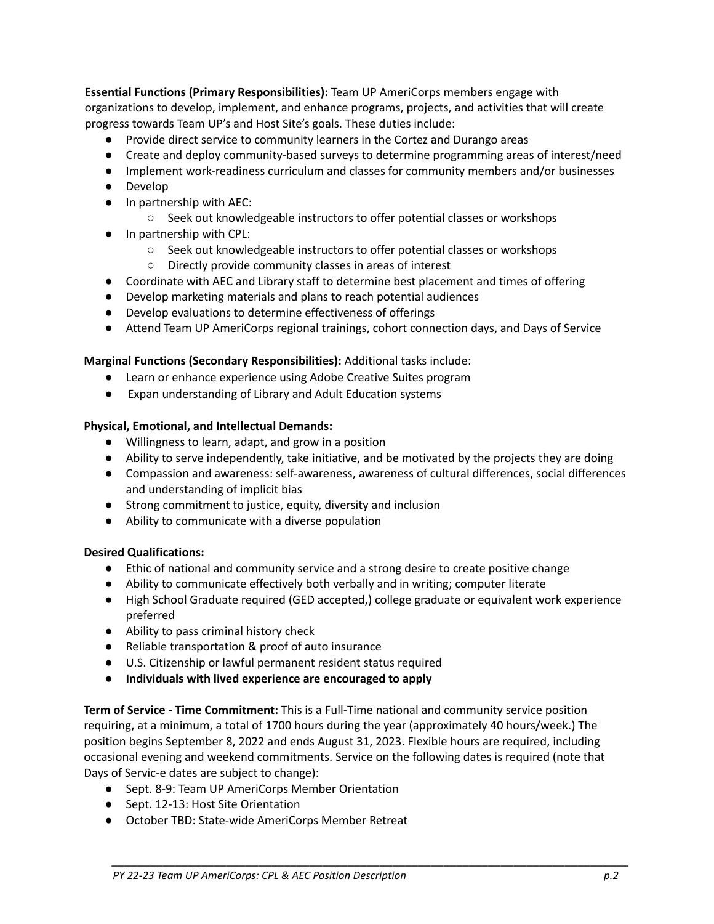**Essential Functions (Primary Responsibilities):** Team UP AmeriCorps members engage with organizations to develop, implement, and enhance programs, projects, and activities that will create progress towards Team UP's and Host Site's goals. These duties include:

- Provide direct service to community learners in the Cortez and Durango areas
- Create and deploy community-based surveys to determine programming areas of interest/need
- Implement work-readiness curriculum and classes for community members and/or businesses
- Develop
- In partnership with AEC:
	- Seek out knowledgeable instructors to offer potential classes or workshops
- In partnership with CPL:
	- Seek out knowledgeable instructors to offer potential classes or workshops
	- Directly provide community classes in areas of interest
- Coordinate with AEC and Library staff to determine best placement and times of offering
- Develop marketing materials and plans to reach potential audiences
- Develop evaluations to determine effectiveness of offerings
- Attend Team UP AmeriCorps regional trainings, cohort connection days, and Days of Service

### **Marginal Functions (Secondary Responsibilities):** Additional tasks include:

- Learn or enhance experience using Adobe Creative Suites program
- Expan understanding of Library and Adult Education systems

### **Physical, Emotional, and Intellectual Demands:**

- **●** Willingness to learn, adapt, and grow in a position
- **●** Ability to serve independently, take initiative, and be motivated by the projects they are doing
- **●** Compassion and awareness: self-awareness, awareness of cultural differences, social differences and understanding of implicit bias
- Strong commitment to justice, equity, diversity and inclusion
- Ability to communicate with a diverse population

### **Desired Qualifications:**

- **●** Ethic of national and community service and a strong desire to create positive change
- **●** Ability to communicate effectively both verbally and in writing; computer literate
- High School Graduate required (GED accepted,) college graduate or equivalent work experience preferred
- **●** Ability to pass criminal history check
- **●** Reliable transportation & proof of auto insurance
- U.S. Citizenship or lawful permanent resident status required
- **● Individuals with lived experience are encouraged to apply**

**Term of Service - Time Commitment:** This is a Full-Time national and community service position requiring, at a minimum, a total of 1700 hours during the year (approximately 40 hours/week.) The position begins September 8, 2022 and ends August 31, 2023. Flexible hours are required, including occasional evening and weekend commitments. Service on the following dates is required (note that Days of Servic-e dates are subject to change):

*\_\_\_\_\_\_\_\_\_\_\_\_\_\_\_\_\_\_\_\_\_\_\_\_\_\_\_\_\_\_\_\_\_\_\_\_\_\_\_\_\_\_\_\_\_\_\_\_\_\_\_\_\_\_\_\_\_\_\_\_\_\_\_\_\_\_\_\_\_\_\_\_\_\_\_\_\_\_\_\_\_*

- Sept. 8-9: Team UP AmeriCorps Member Orientation
- Sept. 12-13: Host Site Orientation
- October TBD: State-wide AmeriCorps Member Retreat